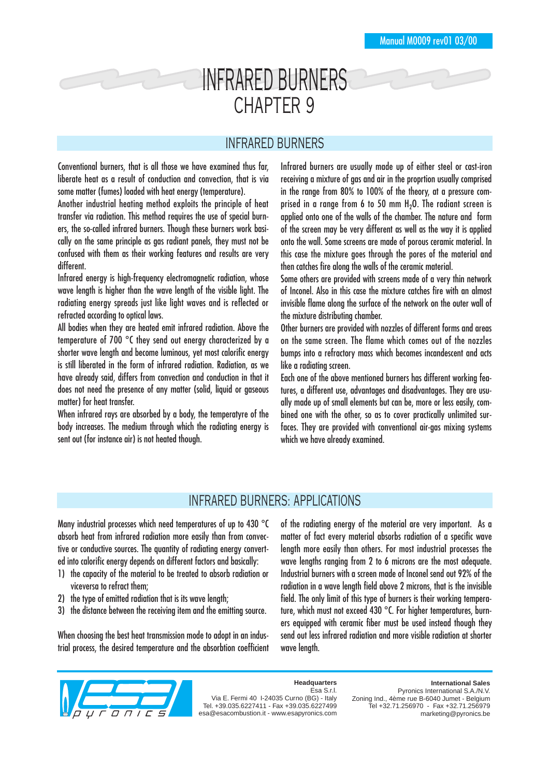## INFRARED BURNERS CHAPTER 9

## INFRARED BURNERS

Conventional burners, that is all those we have examined thus far, liberate heat as a result of conduction and convection, that is via some matter (fumes) loaded with heat energy (temperature).

Another industrial heating method exploits the principle of heat transfer via radiation. This method requires the use of special burners, the so-called infrared burners. Though these burners work basically on the same principle as gas radiant panels, they must not be confused with them as their working features and results are very different.

Infrared energy is high-frequency electromagnetic radiation, whose wave length is higher than the wave length of the visible light. The radiating energy spreads just like light waves and is reflected or refracted according to optical laws.

All bodies when they are heated emit infrared radiation. Above the temperature of 700 °C they send out energy characterized by a shorter wave length and become luminous, yet most calorific energy is still liberated in the form of infrared radiation. Radiation, as we have already said, differs from convection and conduction in that it does not need the presence of any matter (solid, liquid or gaseous matter) for heat transfer.

When infrared rays are absorbed by a body, the temperatyre of the body increases. The medium through which the radiating energy is sent out (for instance air) is not heated though.

Infrared burners are usually made up of either steel or cast-iron receiving a mixture of gas and air in the proprtion usually comprised in the range from 80% to 100% of the theory, at a pressure comprised in a range from 6 to 50 mm  $H<sub>2</sub>O$ . The radiant screen is applied onto one of the walls of the chamber. The nature and form of the screen may be very different as well as the way it is applied onto the wall. Some screens are made of porous ceramic material. In this case the mixture goes through the pores of the material and then catches fire along the walls of the ceramic material.

Some others are provided with screens made of a very thin network of Inconel. Also in this case the mixture catches fire with an almost invisible flame along the surface of the network on the outer wall of the mixture distributing chamber.

Other burners are provided with nozzles of different forms and areas on the same screen. The flame which comes out of the nozzles bumps into a refractory mass which becomes incandescent and acts like a radiating screen.

Each one of the above mentioned burners has different working features, a different use, advantages and disadvantages. They are usually made up of small elements but can be, more or less easily, combined one with the other, so as to cover practically unlimited surfaces. They are provided with conventional air-gas mixing systems which we have already examined.

## INFRARED BURNERS: APPLICATIONS

Many industrial processes which need temperatures of up to 430 °C absorb heat from infrared radiation more easily than from convective or conductive sources. The quantity of radiating energy converted into calorific energy depends on different factors and basically:

- 1) the capacity of the material to be treated to absorb radiation or viceversa to refract them;
- 2) the type of emitted radiation that is its wave length;
- 3) the distance between the receiving item and the emitting source.

When choosing the best heat transmission mode to adopt in an industrial process, the desired temperature and the absorbtion coefficient of the radiating energy of the material are very important. As a matter of fact every material absorbs radiation of a specific wave length more easily than others. For most industrial processes the wave lengths ranging from 2 to 6 microns are the most adequate. Industrial burners with a screen made of Inconel send out 92% of the radiation in a wave length field above 2 microns, that is the invisible field. The only limit of this type of burners is their working temperature, which must not exceed 430 °C. For higher temperatures, burners equipped with ceramic fiber must be used instead though they send out less infrared radiation and more visible radiation at shorter wave length.



**Headquarters** Esa S.r.l. Via E. Fermi 40 I-24035 Curno (BG) - Italy

Tel. +39.035.6227411 - Fax +39.035.6227499 esa@esacombustion.it - www.esapyronics.com

**International Sales**

Pyronics International S.A./N.V. Zoning Ind., 4ème rue B-6040 Jumet - Belgium Tel +32.71.256970 - Fax +32.71.256979 marketing@pyronics.be